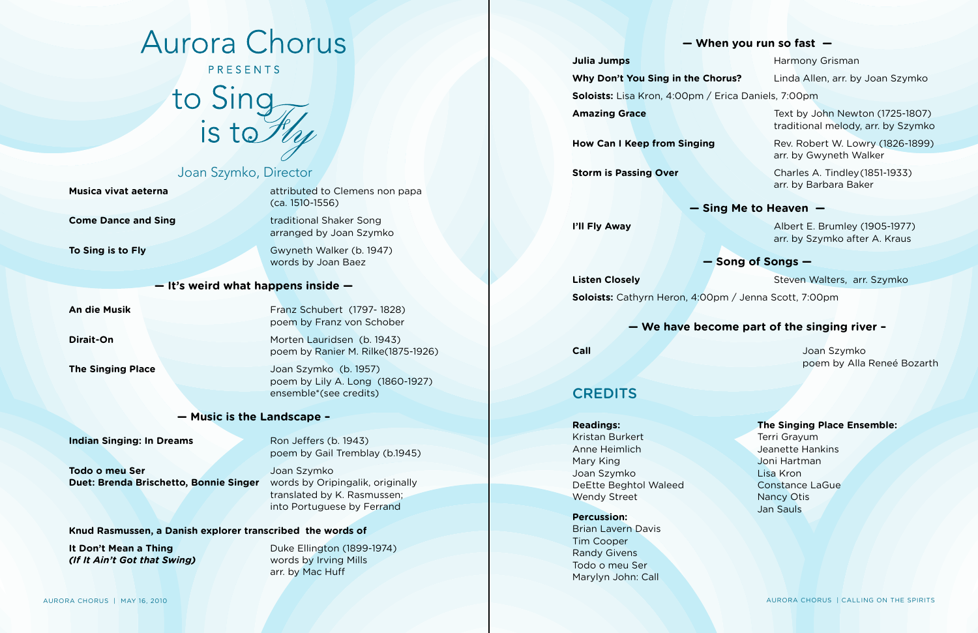# Aurora Chorus

PRESENTS

to Sing

**Musica vivat aeterna** attributed to Clemens non papa (ca. 1510-1556)

**Come Dance and Sing Traditional Shaker Song traditional Shaker Song** arranged by Joan Szymko

**To Sing is to Fly** Gwyneth Walker (b. 1947) words by Joan Baez

**An die Musik** Franz Schubert (1797- 1828) poem by Franz von Schober

**Dirait-On** Morten Lauridsen (b. 1943) poem by Ranier M. Rilke(1875-1926)

#### **— It's weird what happens inside —**

**The Singing Place Joan Szymko (b. 1957)**  poem by Lily A. Long (1860-1927) ensemble\*(see credits)

**Todo o meu Ser** Joan Szymko **Duet: Brenda Brischetto, Bonnie Singer** words by Oripingalik, originally

**It Don't Mean a Thing**  Duke Ellington (1899-1974) arr. by Mac Huff

#### **— Music is the Landscape –**

**Indian Singing: In Dreams** Ron Jeffers (b. 1943)

poem by Gail Tremblay (b.1945)

**Amazing Grace** Text by John Newton (1725-1807) traditional melody, arr. by Szymko

**How Can I Keep from Singing The Rev. Robert W. Lowry (1826-1899)** arr. by Gwyneth Walker

**Storm is Passing Over** Charles A. Tindley (1851-1933) arr. by Barbara Baker

 translated by K. Rasmussen; into Portuguese by Ferrand

**I'll Fly Away** Albert E. Brumley (1905-1977) arr. by Szymko after A. Kraus

#### **Knud Rasmussen, a Danish explorer transcribed the words of**

**(If It Ain't Got that Swing)** words by Irving Mills

**Listen Closely Contract Closely** Steven Walters, arr. Szymko **Soloists:** Cathyrn Heron, 4:00pm / Jenna Scott, 7:00pm

### **CREDITS**

**Call** Joan Szymko poem by Alla Reneé Bozarth

#### **— When you run so fast —**

**Julia Jumps Harmony Grisman** 

**Why Don't You Sing in the Chorus?** Linda Allen, arr. by Joan Szymko

**Soloists:** Lisa Kron, 4:00pm / Erica Daniels, 7:00pm

#### **— Sing Me to Heaven —**

#### **— Song of Songs —**

### **— We have become part of the singing river –**

#### **Readings:**

Kristan Burkert Anne Heimlich Mary King Joan Szymko DeEtte Beghtol Waleed Wendy Street

#### **Percussion:**

Brian Lavern Davis Tim Cooper Randy Givens Todo o meu Ser Marylyn John: Call

#### **The Singing Place Ensemble:**

Terri Grayum Jeanette Hankins Joni Hartman Lisa Kron Constance LaGue Nancy Otis Jan Sauls

### Joan Szymko, Director